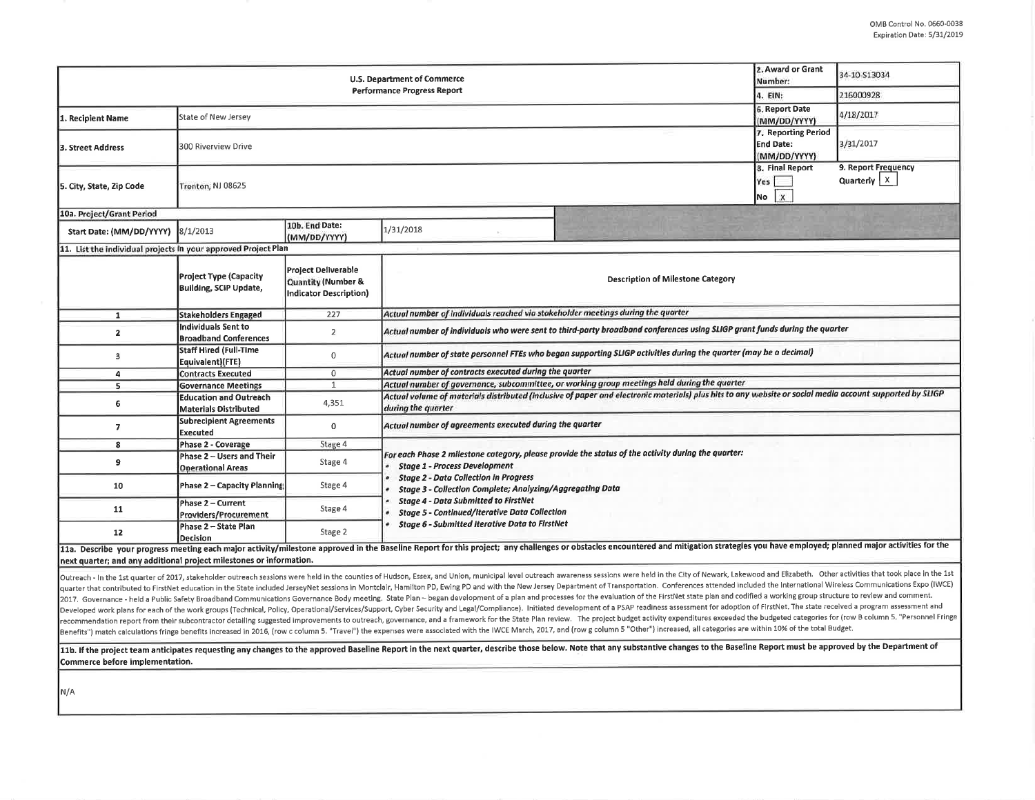|                                                                     | 2. Award or Grant<br>Number:                                  | 34-10-S13034                                                        |                                                                                                                                                                                                                                                                                                                                                                                                                  |  |  |  |  |  |  |
|---------------------------------------------------------------------|---------------------------------------------------------------|---------------------------------------------------------------------|------------------------------------------------------------------------------------------------------------------------------------------------------------------------------------------------------------------------------------------------------------------------------------------------------------------------------------------------------------------------------------------------------------------|--|--|--|--|--|--|
|                                                                     | 4. EIN:                                                       | 216000928                                                           |                                                                                                                                                                                                                                                                                                                                                                                                                  |  |  |  |  |  |  |
| 1. Recipient Name                                                   | State of New Jersey                                           | 6. Report Date<br>(MM/DD/YYYY)                                      | 4/18/2017                                                                                                                                                                                                                                                                                                                                                                                                        |  |  |  |  |  |  |
| <b>3. Street Address</b>                                            | 300 Riverview Drive                                           | 7. Reporting Period<br><b>End Date:</b><br>(MM/DD/YYYY)             | 3/31/2017                                                                                                                                                                                                                                                                                                                                                                                                        |  |  |  |  |  |  |
| 5. City, State, Zip Code                                            | Trenton, NJ 08625                                             | 8. Final Report<br>Yes  <br>X<br>No.                                | 9. Report Frequency<br>Quarterly $\vert x \vert$                                                                                                                                                                                                                                                                                                                                                                 |  |  |  |  |  |  |
| 10a. Project/Grant Period                                           |                                                               |                                                                     |                                                                                                                                                                                                                                                                                                                                                                                                                  |  |  |  |  |  |  |
| Start Date: (MM/DD/YYYY) 8/1/2013                                   |                                                               | 10b. End Date:<br>(MM/DD/YYYY)                                      | 1/31/2018                                                                                                                                                                                                                                                                                                                                                                                                        |  |  |  |  |  |  |
| 11. List the individual projects in your approved Project Plan      |                                                               |                                                                     |                                                                                                                                                                                                                                                                                                                                                                                                                  |  |  |  |  |  |  |
|                                                                     | <b>Project Type (Capacity</b><br>Building, SCIP Update,       | Project Deliverable<br>Quantity (Number &<br>Indicator Description) | <b>Description of Milestone Category</b>                                                                                                                                                                                                                                                                                                                                                                         |  |  |  |  |  |  |
| $\mathbf{1}$                                                        | <b>Stakeholders Engaged</b>                                   | 227                                                                 | Actual number of individuals reached via stakeholder meetings during the quarter                                                                                                                                                                                                                                                                                                                                 |  |  |  |  |  |  |
| $\mathbf{2}$                                                        | <b>Individuals Sent to</b><br><b>Broadband Conferences</b>    | $\overline{2}$                                                      | Actual number of individuals who were sent to third-party broadband conferences using SLIGP grant funds during the quarter                                                                                                                                                                                                                                                                                       |  |  |  |  |  |  |
| $\mathbf{3}$                                                        | <b>Staff Hired (Full-Time</b><br>Equivalent)(FTE)             | 0                                                                   | Actual number of state personnel FTEs who began supporting SLIGP activities during the quarter (may be a decimal)                                                                                                                                                                                                                                                                                                |  |  |  |  |  |  |
| 4                                                                   | <b>Contracts Executed</b>                                     | $\mathbf 0$                                                         | Actual number of contracts executed during the quarter                                                                                                                                                                                                                                                                                                                                                           |  |  |  |  |  |  |
| 5                                                                   | <b>Governance Meetings</b>                                    | $\mathbf{1}$                                                        | Actual number of governance, subcommittee, or working group meetings held during the quarter                                                                                                                                                                                                                                                                                                                     |  |  |  |  |  |  |
| 6                                                                   | <b>Education and Outreach</b><br><b>Materials Distributed</b> | 4,351                                                               | Actual volume of materials distributed (inclusive of paper and electronic materials) plus hits to any website or social media account supported by SLIGP<br>during the quarter                                                                                                                                                                                                                                   |  |  |  |  |  |  |
| $\overline{7}$                                                      | <b>Subrecipient Agreements</b><br>Executed                    | 0                                                                   | Actual number of agreements executed during the quarter                                                                                                                                                                                                                                                                                                                                                          |  |  |  |  |  |  |
| 8                                                                   | Phase 2 - Coverage                                            | Stage 4                                                             |                                                                                                                                                                                                                                                                                                                                                                                                                  |  |  |  |  |  |  |
| 9                                                                   | Phase 2 - Users and Their<br><b>Operational Areas</b>         | Stage 4                                                             | For each Phase 2 milestone category, please provide the status of the activity during the quarter:<br><b>Stage 1 - Process Development</b><br><b>Stage 2 - Data Collection in Progress</b><br>Stage 3 - Collection Complete; Analyzing/Aggregating Data<br><b>Stage 4 - Data Submitted to FirstNet</b><br><b>Stage 5 - Continued/Iterative Data Collection</b><br>Stage 6 - Submitted Iterative Data to FirstNet |  |  |  |  |  |  |
| 10                                                                  | Phase 2 - Capacity Planning                                   | Stage 4                                                             |                                                                                                                                                                                                                                                                                                                                                                                                                  |  |  |  |  |  |  |
| 11                                                                  | Phase 2 - Current<br>Providers/Procurement                    | Stage 4                                                             |                                                                                                                                                                                                                                                                                                                                                                                                                  |  |  |  |  |  |  |
| 12                                                                  | Phase 2 - State Plan<br>Decision                              | Stage 2                                                             |                                                                                                                                                                                                                                                                                                                                                                                                                  |  |  |  |  |  |  |
| next quarter; and any additional project milestones or information. |                                                               |                                                                     | 11a. Describe your progress meeting each major activity/milestone approved in the Baseline Report for this project; any challenges or obstacles encountered and mitigation strategies you have employed; planned major activit                                                                                                                                                                                   |  |  |  |  |  |  |

Outreach - In the 1st quarter of 2017, stakeholder outreach sessions were held in the counties of Hudson, Essex, and Union, municipal level outreach awareness sessions were held in the City of Newark, Lakewood and Elizabet quarter that contributed to FirstNet education in the State included JerseyNet sessions In Montclair, Hamilton PD, Ewing PD and with the New Jersey Department of Transportation. Conferences attended included the Internatio 2017. Governance - held a Public Safety Broadband Communications Governance Body meeting. State Plan - began development of a plan and processes for the evaluation of the FirstNet state plan and codified a working group st Developed work plans for each of the work groups (Technical, Policy, Operational/Services/Support, Cyber Security and Legal/Compliance). Initiated development of a PSAP readiness assessment for adoption of FirstNet. The st recommendation report from their subcontractor detailing suggested improvements to outreach, governance, and a framework for the State Plan review. The project budget activity expenditures exceeded the budgeted categories Benefits") match calculations fringe benefits increased in 2016, (row c column 5. "Travel") the expenses were associated with the IWCE March, 2017, and (row g column 5 "Other") increased, all categories are within 10% of t

11b. If the project team anticipates requesting any changes to the approved Baseline Report in the next quarter, describe those below. Note that any substantive changes to the Baseline Report must be approved by the Depart Commerce before Implementation.

N/A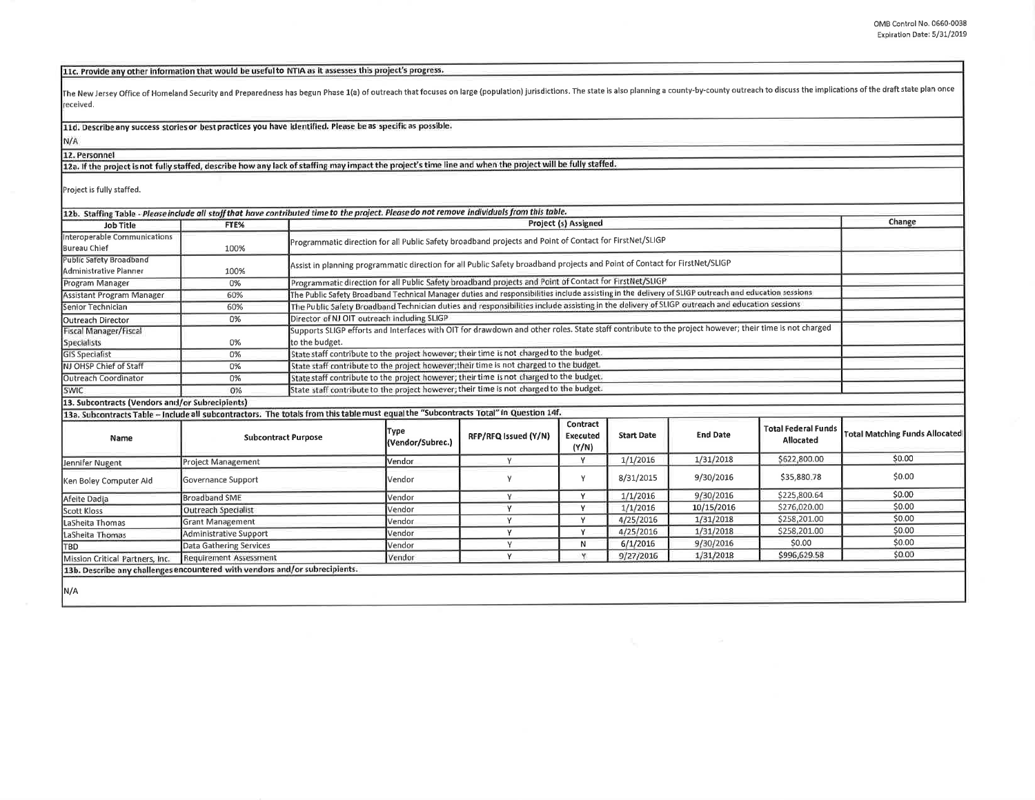11c. Provide any other information that would be useful to NTIA as it assesses this project's progress.

The New Jersey Office of Homeland Security and Preparedness has begun Phase 1(a) of outreach that focuses on large (population) jurisdictions. The state is also planning a county-by-county outreach to discuss the implicati received.

11d. Describe any success stories or best practices you have identified. Please be as specific as possible.

N/A

12. Personnel 12a. If the project is not fully staffed, describe how any lack of staffing may impact the project's time line and when the project will be fully staffed.

Project is fully staffed.

| 12b. Staffing Table - Please include all staff that have contributed time to the project. Please do not remove individuals from this table. |                               |                |                                                                                                                                                       |                      |                               |                   |                 |                                         |                                       |  |  |
|---------------------------------------------------------------------------------------------------------------------------------------------|-------------------------------|----------------|-------------------------------------------------------------------------------------------------------------------------------------------------------|----------------------|-------------------------------|-------------------|-----------------|-----------------------------------------|---------------------------------------|--|--|
| Job Title                                                                                                                                   | FTE%                          |                | <b>Project (s) Assigned</b>                                                                                                                           |                      |                               |                   |                 |                                         |                                       |  |  |
| Interoperable Communications<br>Bureau Chief                                                                                                | 100%                          |                | Programmatic direction for all Public Safety broadband projects and Point of Contact for FirstNet/SLIGP                                               |                      |                               |                   |                 |                                         |                                       |  |  |
| <b>Public Safety Broadband</b><br>Administrative Planner                                                                                    | 100%                          |                | Assist in planning programmatic direction for all Public Safety broadband projects and Point of Contact for FirstNet/SLIGP                            |                      |                               |                   |                 |                                         |                                       |  |  |
| Program Manager                                                                                                                             | 0%                            |                | Programmatic direction for all Public Safety broadband projects and Point of Contact for FirstNet/SLIGP                                               |                      |                               |                   |                 |                                         |                                       |  |  |
| Assistant Program Manager                                                                                                                   | 60%                           |                | The Public Safety Broadband Technical Manager duties and responsibilities include assisting in the delivery of SLIGP outreach and education sessions  |                      |                               |                   |                 |                                         |                                       |  |  |
| Senior Technician                                                                                                                           | 60%                           |                | The Public Safety Broadband Technician duties and responsibilities include assisting in the delivery of SLIGP outreach and education sessions         |                      |                               |                   |                 |                                         |                                       |  |  |
| Outreach Director                                                                                                                           | 0%                            |                | Director of NJ OIT outreach including SLIGP                                                                                                           |                      |                               |                   |                 |                                         |                                       |  |  |
| <b>Fiscal Manager/Fiscal</b>                                                                                                                |                               |                | Supports SLIGP efforts and Interfaces with OIT for drawdown and other roles. State staff contribute to the project however; their time is not charged |                      |                               |                   |                 |                                         |                                       |  |  |
| Specialists                                                                                                                                 | 0%                            | to the budget. |                                                                                                                                                       |                      |                               |                   |                 |                                         |                                       |  |  |
| <b>GIS Specialist</b>                                                                                                                       | 0%                            |                | State staff contribute to the project however; their time is not charged to the budget.                                                               |                      |                               |                   |                 |                                         |                                       |  |  |
| NJ OHSP Chief of Staff                                                                                                                      | 0%                            |                | State staff contribute to the project however; their time is not charged to the budget.                                                               |                      |                               |                   |                 |                                         |                                       |  |  |
| Outreach Coordinator                                                                                                                        | 0%                            |                | State staff contribute to the project however; their time is not charged to the budget.                                                               |                      |                               |                   |                 |                                         |                                       |  |  |
| <b>SWIC</b>                                                                                                                                 | 0%                            |                | State staff contribute to the project however; their time is not charged to the budget.                                                               |                      |                               |                   |                 |                                         |                                       |  |  |
| 13. Subcontracts (Vendors and/or Subrecipients)                                                                                             |                               |                |                                                                                                                                                       |                      |                               |                   |                 |                                         |                                       |  |  |
| 13a. Subcontracts Table - Include all subcontractors. The totals from this table must equal the "Subcontracts Total" in Question 14f.       |                               |                |                                                                                                                                                       |                      |                               |                   |                 |                                         |                                       |  |  |
| Name                                                                                                                                        | <b>Subcontract Purpose</b>    |                | Type<br>(Vendor/Subrec.)                                                                                                                              | RFP/RFQ Issued (Y/N) | Contract<br>Executed<br>(Y/N) | <b>Start Date</b> | <b>End Date</b> | <b>Total Federal Funds</b><br>Allocated | <b>Total Matching Funds Allocated</b> |  |  |
| Jennifer Nugent                                                                                                                             | <b>Project Management</b>     |                |                                                                                                                                                       | Y                    | Y                             | 1/1/2016          | 1/31/2018       | \$622,800.00                            | \$0.00                                |  |  |
| Ken Boley Computer Aid                                                                                                                      | Governance Support            |                | <b>Vendor</b>                                                                                                                                         | ٧                    | Y                             | 8/31/2015         | 9/30/2016       | \$35,880.78                             | \$0.00                                |  |  |
| Afeite Dadja                                                                                                                                | <b>Broadband SME</b>          |                | Vendor                                                                                                                                                | Y                    | Y                             | 1/1/2016          | 9/30/2016       | \$225,800.64                            | \$0.00                                |  |  |
| Scott Kloss                                                                                                                                 | Outreach Specialist           |                | Vendor                                                                                                                                                | Y                    | v                             | 1/1/2016          | 10/15/2016      | \$276,020.00                            | \$0.00                                |  |  |
| LaSheita Thomas                                                                                                                             | <b>Grant Management</b>       |                | Vendor                                                                                                                                                | Y                    | Y                             | 4/25/2016         | 1/31/2018       | \$258,201.00                            | \$0.00                                |  |  |
| LaSheita Thomas                                                                                                                             | <b>Administrative Support</b> |                | Vendor                                                                                                                                                | Υ                    | Y                             | 4/25/2016         | 1/31/2018       | \$258,201.00                            | \$0.00                                |  |  |
| TBD                                                                                                                                         | Data Gathering Services       |                | Vendor                                                                                                                                                | Y                    | N                             | 6/1/2016          | 9/30/2016       | \$0.00                                  | \$0.00                                |  |  |
| Mission Critical Partners, Inc.                                                                                                             | <b>Requirement Assessment</b> |                | Vendor                                                                                                                                                | Y                    | v                             | 9/27/2016         | 1/31/2018       | \$996,629.58                            | \$0.00                                |  |  |
| 13b. Describe any challenges encountered with vendors and/or subrecipients.                                                                 |                               |                |                                                                                                                                                       |                      |                               |                   |                 |                                         |                                       |  |  |
|                                                                                                                                             |                               |                |                                                                                                                                                       |                      |                               |                   |                 |                                         |                                       |  |  |
| N/A                                                                                                                                         |                               |                |                                                                                                                                                       |                      |                               |                   |                 |                                         |                                       |  |  |